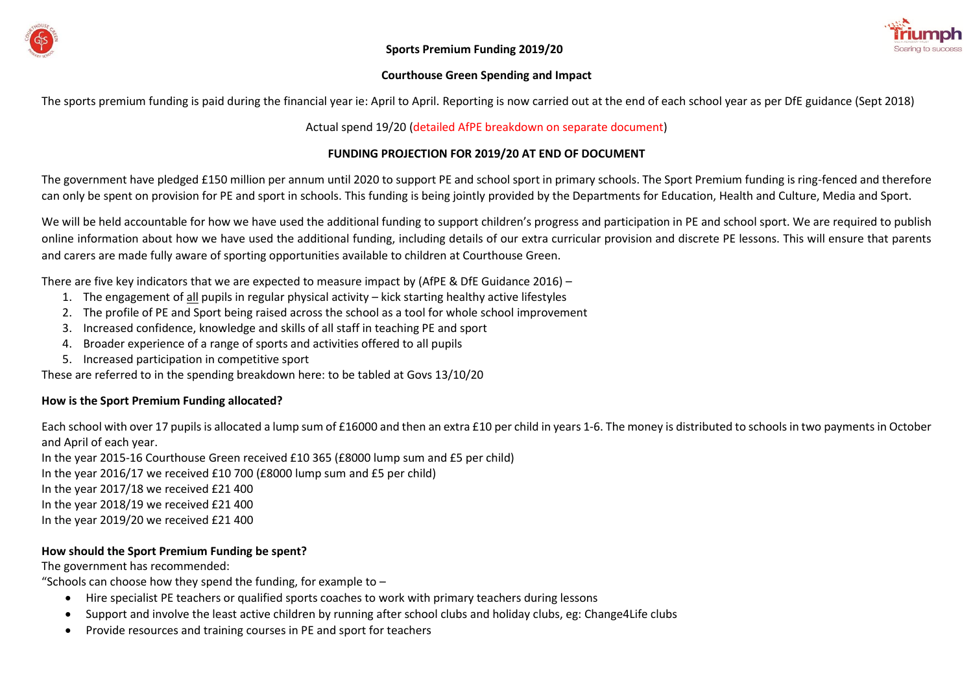

#### **Courthouse Green Spending and Impact**

The sports premium funding is paid during the financial year ie: April to April. Reporting is now carried out at the end of each school year as per DfE guidance (Sept 2018)

## Actual spend 19/20 (detailed AfPE breakdown on separate document)

## **FUNDING PROJECTION FOR 2019/20 AT END OF DOCUMENT**

The government have pledged £150 million per annum until 2020 to support PE and school sport in primary schools. The Sport Premium funding is ring-fenced and therefore can only be spent on provision for PE and sport in schools. This funding is being jointly provided by the Departments for Education, Health and Culture, Media and Sport.

We will be held accountable for how we have used the additional funding to support children's progress and participation in PE and school sport. We are required to publish online information about how we have used the additional funding, including details of our extra curricular provision and discrete PE lessons. This will ensure that parents and carers are made fully aware of sporting opportunities available to children at Courthouse Green.

There are five key indicators that we are expected to measure impact by (AfPE & DfE Guidance 2016) –

- 1. The engagement of all pupils in regular physical activity kick starting healthy active lifestyles
- 2. The profile of PE and Sport being raised across the school as a tool for whole school improvement
- 3. Increased confidence, knowledge and skills of all staff in teaching PE and sport
- 4. Broader experience of a range of sports and activities offered to all pupils
- 5. Increased participation in competitive sport

These are referred to in the spending breakdown here: to be tabled at Govs 13/10/20

# **How is the Sport Premium Funding allocated?**

Each school with over 17 pupils is allocated a lump sum of £16000 and then an extra £10 per child in years 1-6. The money is distributed to schools in two payments in October and April of each year.

In the year 2015-16 Courthouse Green received £10 365 (£8000 lump sum and £5 per child) In the year 2016/17 we received £10 700 (£8000 lump sum and £5 per child) In the year 2017/18 we received £21 400 In the year 2018/19 we received £21 400 In the year 2019/20 we received £21 400

# **How should the Sport Premium Funding be spent?**

The government has recommended:

"Schools can choose how they spend the funding, for example to  $-$ 

- Hire specialist PE teachers or qualified sports coaches to work with primary teachers during lessons
- Support and involve the least active children by running after school clubs and holiday clubs, eg: Change4Life clubs
- Provide resources and training courses in PE and sport for teachers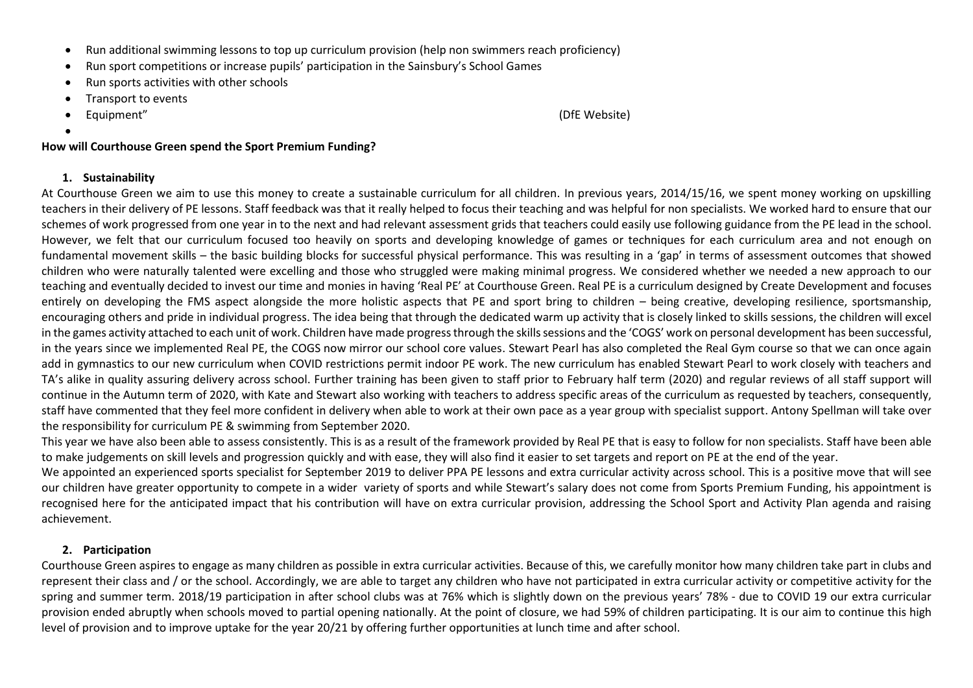- Run additional swimming lessons to top up curriculum provision (help non swimmers reach proficiency)
- Run sport competitions or increase pupils' participation in the Sainsbury's School Games
- Run sports activities with other schools
- Transport to events
- Equipment" (DfE Website)

•

## **How will Courthouse Green spend the Sport Premium Funding?**

## **1. Sustainability**

At Courthouse Green we aim to use this money to create a sustainable curriculum for all children. In previous years, 2014/15/16, we spent money working on upskilling teachers in their delivery of PE lessons. Staff feedback was that it really helped to focus their teaching and was helpful for non specialists. We worked hard to ensure that our schemes of work progressed from one year in to the next and had relevant assessment grids that teachers could easily use following guidance from the PE lead in the school. However, we felt that our curriculum focused too heavily on sports and developing knowledge of games or techniques for each curriculum area and not enough on fundamental movement skills – the basic building blocks for successful physical performance. This was resulting in a 'gap' in terms of assessment outcomes that showed children who were naturally talented were excelling and those who struggled were making minimal progress. We considered whether we needed a new approach to our teaching and eventually decided to invest our time and monies in having 'Real PE' at Courthouse Green. Real PE is a curriculum designed by Create Development and focuses entirely on developing the FMS aspect alongside the more holistic aspects that PE and sport bring to children – being creative, developing resilience, sportsmanship, encouraging others and pride in individual progress. The idea being that through the dedicated warm up activity that is closely linked to skills sessions, the children will excel in the games activity attached to each unit of work. Children have made progress through the skills sessions and the 'COGS' work on personal development has been successful, in the years since we implemented Real PE, the COGS now mirror our school core values. Stewart Pearl has also completed the Real Gym course so that we can once again add in gymnastics to our new curriculum when COVID restrictions permit indoor PE work. The new curriculum has enabled Stewart Pearl to work closely with teachers and TA's alike in quality assuring delivery across school. Further training has been given to staff prior to February half term (2020) and regular reviews of all staff support will continue in the Autumn term of 2020, with Kate and Stewart also working with teachers to address specific areas of the curriculum as requested by teachers, consequently, staff have commented that they feel more confident in delivery when able to work at their own pace as a year group with specialist support. Antony Spellman will take over the responsibility for curriculum PE & swimming from September 2020.

This year we have also been able to assess consistently. This is as a result of the framework provided by Real PE that is easy to follow for non specialists. Staff have been able to make judgements on skill levels and progression quickly and with ease, they will also find it easier to set targets and report on PE at the end of the year.

We appointed an experienced sports specialist for September 2019 to deliver PPA PE lessons and extra curricular activity across school. This is a positive move that will see our children have greater opportunity to compete in a wider variety of sports and while Stewart's salary does not come from Sports Premium Funding, his appointment is recognised here for the anticipated impact that his contribution will have on extra curricular provision, addressing the School Sport and Activity Plan agenda and raising achievement.

# **2. Participation**

Courthouse Green aspires to engage as many children as possible in extra curricular activities. Because of this, we carefully monitor how many children take part in clubs and represent their class and / or the school. Accordingly, we are able to target any children who have not participated in extra curricular activity or competitive activity for the spring and summer term. 2018/19 participation in after school clubs was at 76% which is slightly down on the previous years' 78% - due to COVID 19 our extra curricular provision ended abruptly when schools moved to partial opening nationally. At the point of closure, we had 59% of children participating. It is our aim to continue this high level of provision and to improve uptake for the year 20/21 by offering further opportunities at lunch time and after school.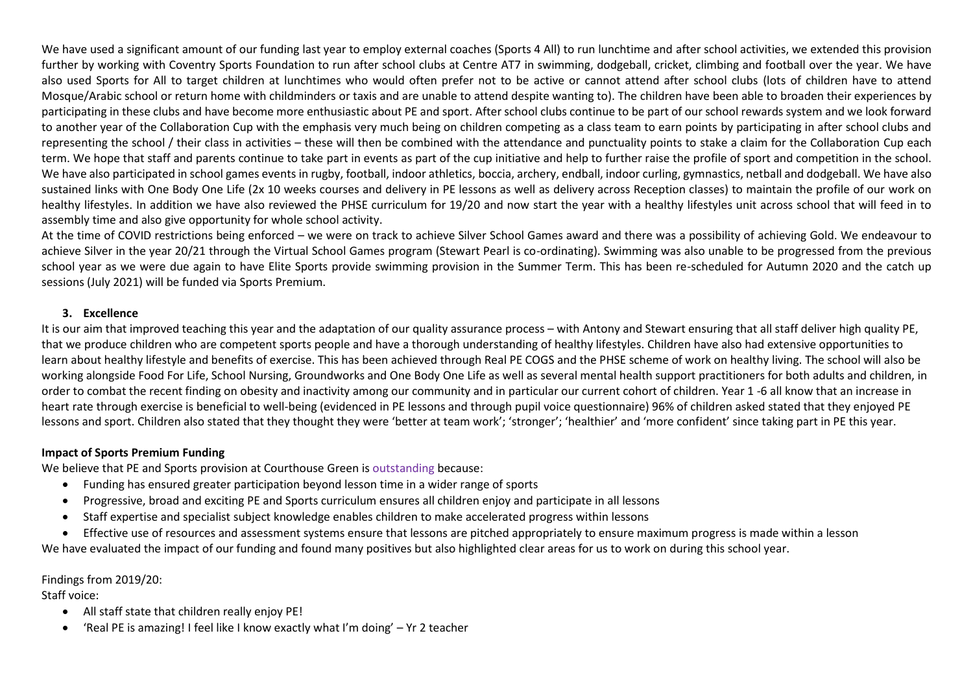We have used a significant amount of our funding last year to employ external coaches (Sports 4 All) to run lunchtime and after school activities, we extended this provision further by working with Coventry Sports Foundation to run after school clubs at Centre AT7 in swimming, dodgeball, cricket, climbing and football over the year. We have also used Sports for All to target children at lunchtimes who would often prefer not to be active or cannot attend after school clubs (lots of children have to attend Mosque/Arabic school or return home with childminders or taxis and are unable to attend despite wanting to). The children have been able to broaden their experiences by participating in these clubs and have become more enthusiastic about PE and sport. After school clubs continue to be part of our school rewards system and we look forward to another year of the Collaboration Cup with the emphasis very much being on children competing as a class team to earn points by participating in after school clubs and representing the school / their class in activities – these will then be combined with the attendance and punctuality points to stake a claim for the Collaboration Cup each term. We hope that staff and parents continue to take part in events as part of the cup initiative and help to further raise the profile of sport and competition in the school. We have also participated in school games events in rugby, football, indoor athletics, boccia, archery, endball, indoor curling, gymnastics, netball and dodgeball. We have also sustained links with One Body One Life (2x 10 weeks courses and delivery in PE lessons as well as delivery across Reception classes) to maintain the profile of our work on healthy lifestyles. In addition we have also reviewed the PHSE curriculum for 19/20 and now start the year with a healthy lifestyles unit across school that will feed in to assembly time and also give opportunity for whole school activity.

At the time of COVID restrictions being enforced – we were on track to achieve Silver School Games award and there was a possibility of achieving Gold. We endeavour to achieve Silver in the year 20/21 through the Virtual School Games program (Stewart Pearl is co-ordinating). Swimming was also unable to be progressed from the previous school year as we were due again to have Elite Sports provide swimming provision in the Summer Term. This has been re-scheduled for Autumn 2020 and the catch up sessions (July 2021) will be funded via Sports Premium.

#### **3. Excellence**

It is our aim that improved teaching this year and the adaptation of our quality assurance process – with Antony and Stewart ensuring that all staff deliver high quality PE, that we produce children who are competent sports people and have a thorough understanding of healthy lifestyles. Children have also had extensive opportunities to learn about healthy lifestyle and benefits of exercise. This has been achieved through Real PE COGS and the PHSE scheme of work on healthy living. The school will also be working alongside Food For Life, School Nursing, Groundworks and One Body One Life as well as several mental health support practitioners for both adults and children, in order to combat the recent finding on obesity and inactivity among our community and in particular our current cohort of children. Year 1 -6 all know that an increase in heart rate through exercise is beneficial to well-being (evidenced in PE lessons and through pupil voice questionnaire) 96% of children asked stated that they enjoyed PE lessons and sport. Children also stated that they thought they were 'better at team work'; 'stronger'; 'healthier' and 'more confident' since taking part in PE this year.

#### **Impact of Sports Premium Funding**

We believe that PE and Sports provision at Courthouse Green is outstanding because:

- Funding has ensured greater participation beyond lesson time in a wider range of sports
- Progressive, broad and exciting PE and Sports curriculum ensures all children enjoy and participate in all lessons
- Staff expertise and specialist subject knowledge enables children to make accelerated progress within lessons
- Effective use of resources and assessment systems ensure that lessons are pitched appropriately to ensure maximum progress is made within a lesson We have evaluated the impact of our funding and found many positives but also highlighted clear areas for us to work on during this school year.

#### Findings from 2019/20:

Staff voice:

- All staff state that children really enjoy PE!
- 'Real PE is amazing! I feel like I know exactly what I'm doing' Yr 2 teacher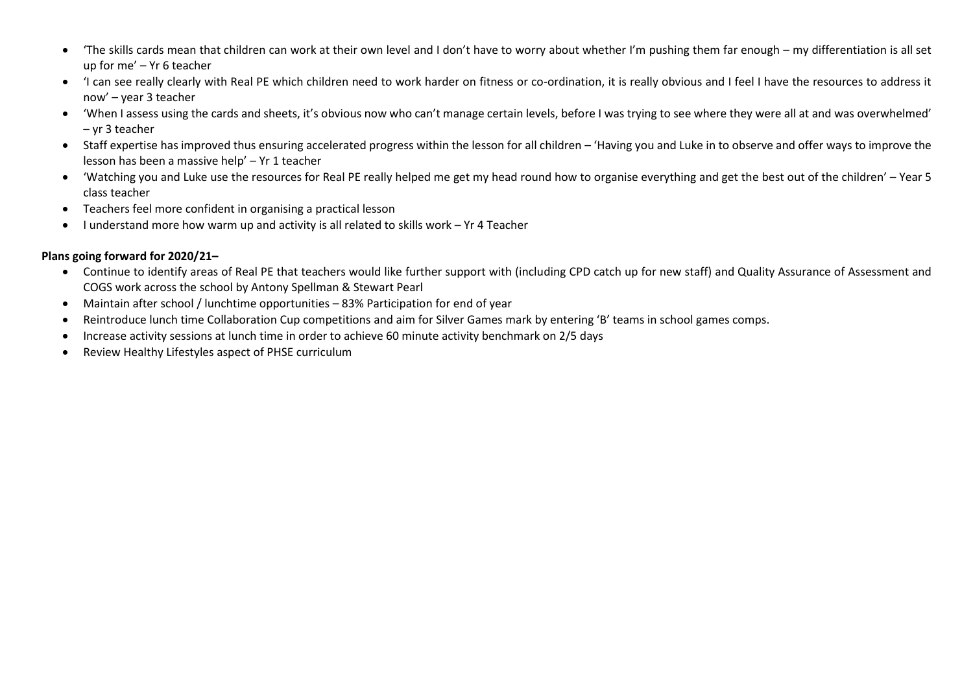- 'The skills cards mean that children can work at their own level and I don't have to worry about whether I'm pushing them far enough my differentiation is all set up for me' – Yr 6 teacher
- 'I can see really clearly with Real PE which children need to work harder on fitness or co-ordination, it is really obvious and I feel I have the resources to address it now' – year 3 teacher
- 'When I assess using the cards and sheets, it's obvious now who can't manage certain levels, before I was trying to see where they were all at and was overwhelmed' – yr 3 teacher
- Staff expertise has improved thus ensuring accelerated progress within the lesson for all children 'Having you and Luke in to observe and offer ways to improve the lesson has been a massive help' – Yr 1 teacher
- 'Watching you and Luke use the resources for Real PE really helped me get my head round how to organise everything and get the best out of the children' Year 5 class teacher
- Teachers feel more confident in organising a practical lesson
- I understand more how warm up and activity is all related to skills work Yr 4 Teacher

# **Plans going forward for 2020/21–**

- Continue to identify areas of Real PE that teachers would like further support with (including CPD catch up for new staff) and Quality Assurance of Assessment and COGS work across the school by Antony Spellman & Stewart Pearl
- Maintain after school / lunchtime opportunities 83% Participation for end of year
- Reintroduce lunch time Collaboration Cup competitions and aim for Silver Games mark by entering 'B' teams in school games comps.
- Increase activity sessions at lunch time in order to achieve 60 minute activity benchmark on 2/5 days
- Review Healthy Lifestyles aspect of PHSE curriculum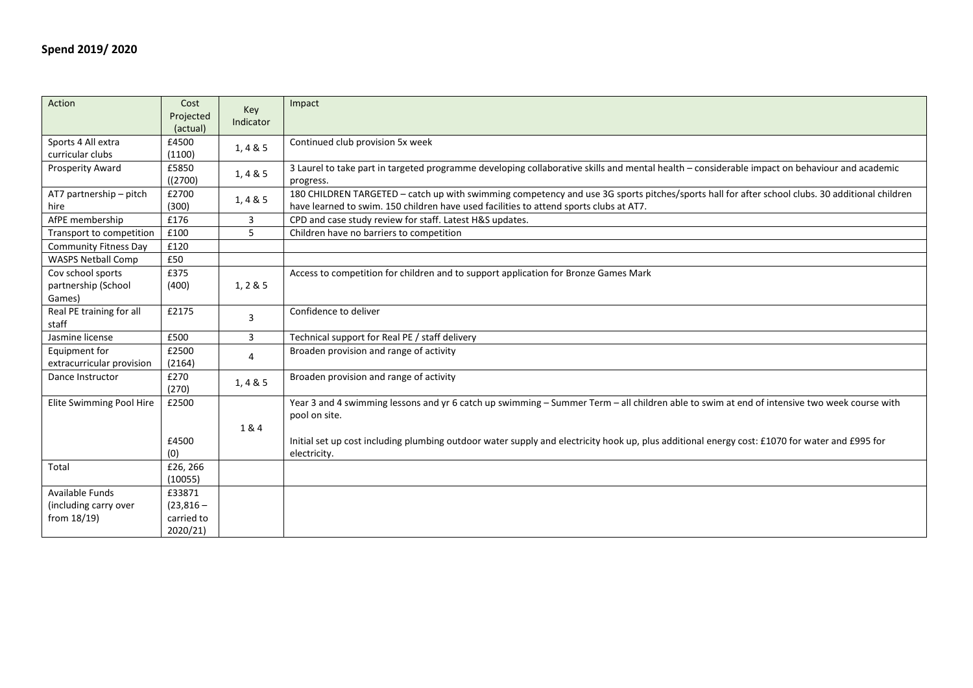| Action                                 | Cost                  | Key            | Impact                                                                                                                                         |
|----------------------------------------|-----------------------|----------------|------------------------------------------------------------------------------------------------------------------------------------------------|
|                                        | Projected<br>(actual) | Indicator      |                                                                                                                                                |
| Sports 4 All extra<br>curricular clubs | £4500                 | 1,4 & 5        | Continued club provision 5x week                                                                                                               |
| Prosperity Award                       | (1100)<br>£5850       |                | 3 Laurel to take part in targeted programme developing collaborative skills and mental health - considerable impact on behaviour and academic  |
|                                        | ((2700)               | 1, 4 & 5       | progress.                                                                                                                                      |
| AT7 partnership - pitch                | £2700                 | 1, 4 & 5       | 180 CHILDREN TARGETED - catch up with swimming competency and use 3G sports pitches/sports hall for after school clubs. 30 additional children |
| hire                                   | (300)                 |                | have learned to swim. 150 children have used facilities to attend sports clubs at AT7.                                                         |
| AfPE membership                        | £176                  | 3              | CPD and case study review for staff. Latest H&S updates.                                                                                       |
| Transport to competition               | £100                  | 5              | Children have no barriers to competition                                                                                                       |
| <b>Community Fitness Day</b>           | £120                  |                |                                                                                                                                                |
| <b>WASPS Netball Comp</b>              | £50                   |                |                                                                                                                                                |
| Cov school sports                      | £375                  |                | Access to competition for children and to support application for Bronze Games Mark                                                            |
| partnership (School                    | (400)                 | 1, 2 & 5       |                                                                                                                                                |
| Games)                                 |                       |                |                                                                                                                                                |
| Real PE training for all               | £2175                 | 3              | Confidence to deliver                                                                                                                          |
| staff                                  |                       |                |                                                                                                                                                |
| Jasmine license                        | £500                  | 3              | Technical support for Real PE / staff delivery                                                                                                 |
| Equipment for                          | £2500                 | $\overline{4}$ | Broaden provision and range of activity                                                                                                        |
| extracurricular provision              | (2164)                |                |                                                                                                                                                |
| Dance Instructor                       | £270                  | 1,4 & 5        | Broaden provision and range of activity                                                                                                        |
|                                        | (270)                 |                |                                                                                                                                                |
| Elite Swimming Pool Hire               | £2500                 |                | Year 3 and 4 swimming lessons and yr 6 catch up swimming - Summer Term - all children able to swim at end of intensive two week course with    |
|                                        |                       |                | pool on site.                                                                                                                                  |
|                                        |                       | 1&4            |                                                                                                                                                |
|                                        | £4500                 |                | Initial set up cost including plumbing outdoor water supply and electricity hook up, plus additional energy cost: £1070 for water and £995 for |
|                                        | (0)                   |                | electricity.                                                                                                                                   |
| Total                                  | £26, 266              |                |                                                                                                                                                |
|                                        | (10055)               |                |                                                                                                                                                |
| <b>Available Funds</b>                 | £33871                |                |                                                                                                                                                |
| (including carry over                  | $(23,816 -$           |                |                                                                                                                                                |
| from 18/19)                            | carried to            |                |                                                                                                                                                |
|                                        | 2020/21)              |                |                                                                                                                                                |